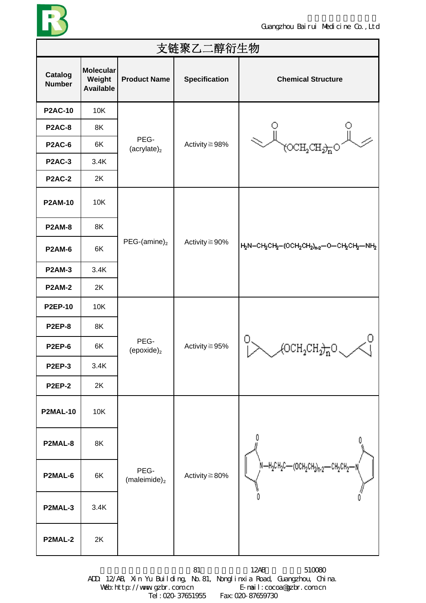

| 支链聚乙二醇衍生物                |                                                |                         |                      |                                                                                                          |  |  |
|--------------------------|------------------------------------------------|-------------------------|----------------------|----------------------------------------------------------------------------------------------------------|--|--|
| Catalog<br><b>Number</b> | <b>Molecular</b><br>Weight<br><b>Available</b> | <b>Product Name</b>     | <b>Specification</b> | <b>Chemical Structure</b>                                                                                |  |  |
| <b>P2AC-10</b>           | 10K                                            |                         |                      |                                                                                                          |  |  |
| <b>P2AC-8</b>            | 8K                                             |                         |                      |                                                                                                          |  |  |
| <b>P2AC-6</b>            | 6K                                             | PEG-<br>$(acrylate)_2$  | Activity ≧98%        |                                                                                                          |  |  |
| <b>P2AC-3</b>            | 3.4K                                           |                         |                      |                                                                                                          |  |  |
| <b>P2AC-2</b>            | 2K                                             |                         |                      |                                                                                                          |  |  |
| <b>P2AM-10</b>           | 10K                                            |                         |                      |                                                                                                          |  |  |
| <b>P2AM-8</b>            | 8K                                             |                         |                      |                                                                                                          |  |  |
| <b>P2AM-6</b>            | 6K                                             | $PEG-(amine)_2$         | Activity $\geq$ 90%  | $H_2N$ –C $H_2$ C $H_2$ –(OC $H_2$ C $H_2$ ) <sub>n-2</sub> –O–C $H_2$ C $H_2$ –N $H_2$                  |  |  |
| <b>P2AM-3</b>            | 3.4K                                           |                         |                      |                                                                                                          |  |  |
| <b>P2AM-2</b>            | 2K                                             |                         |                      |                                                                                                          |  |  |
| <b>P2EP-10</b>           | 10K                                            |                         |                      |                                                                                                          |  |  |
| <b>P2EP-8</b>            | 8K                                             |                         |                      |                                                                                                          |  |  |
| <b>P2EP-6</b>            | 6K                                             | PEG-<br>(epoxide) $_2$  | Activity $\geq$ 95%  | $\left\langle \text{OCH}_2\text{CH}_{2}\right\rangle_{\overline{\text{n}}}\text{O}$ $\sim$ $\mathcal{A}$ |  |  |
| <b>P2EP-3</b>            | 3.4K                                           |                         |                      |                                                                                                          |  |  |
| <b>P2EP-2</b>            | 2K                                             |                         |                      |                                                                                                          |  |  |
| <b>P2MAL-10</b>          | 10K                                            |                         |                      |                                                                                                          |  |  |
| P2MAL-8                  | 8K                                             |                         |                      |                                                                                                          |  |  |
| P2MAL-6                  | 6K                                             | PEG-<br>$(maleimide)_2$ | Activity $\geq 80\%$ | )N—H2CH2C—(ОСН2CH2)n-2—CH2CH2—N<br>/                                                                     |  |  |
| P2MAL-3                  | 3.4K                                           |                         |                      |                                                                                                          |  |  |
| P2MAL-2                  | 2K                                             |                         |                      |                                                                                                          |  |  |

ADD: 12/AB, Xin Yu Building, No.81, Nonglinxia Road, Guangzhou, China. Web: http://www.gzbr.com.cn E-mail:cocoa@gzbr.com.cn Tel:020-37651955 Fax:020-87659730

81 12AB 510080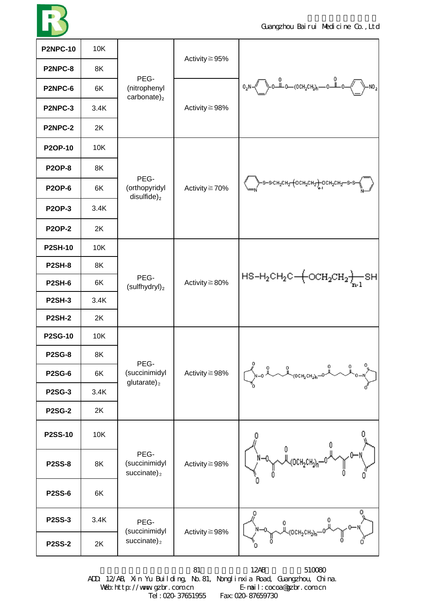

| <b>P2NPC-10</b> | 10K  | PEG-<br>(nitrophenyl<br>carbonate) $_2$            | Activity $\geq$ 95%  | $-N02$                                                                                                         |
|-----------------|------|----------------------------------------------------|----------------------|----------------------------------------------------------------------------------------------------------------|
| P2NPC-8         | 8K   |                                                    |                      |                                                                                                                |
| P2NPC-6         | 6K   |                                                    | Activity $\geq$ 98%  |                                                                                                                |
| <b>P2NPC-3</b>  | 3.4K |                                                    |                      |                                                                                                                |
| <b>P2NPC-2</b>  | 2K   |                                                    |                      |                                                                                                                |
| <b>P2OP-10</b>  | 10K  |                                                    | Activity ≧70%        | >S-S-CH <sub>2</sub> CH <sub>2</sub> (OCH <sub>2</sub> CH <sub>2</sub> ) OCH <sub>2</sub> CH <sub>2</sub> -S-S |
| <b>P2OP-8</b>   | 8K   |                                                    |                      |                                                                                                                |
| <b>P2OP-6</b>   | 6K   | PEG-<br>(orthopyridyl                              |                      |                                                                                                                |
| <b>P2OP-3</b>   | 3.4K | $disulfide)_2$                                     |                      |                                                                                                                |
| <b>P2OP-2</b>   | 2K   |                                                    |                      |                                                                                                                |
| <b>P2SH-10</b>  | 10K  |                                                    | Activity $\geq 80\%$ | $HS-H_2CH_2C + OCH_2CH_2 + SHI$                                                                                |
| <b>P2SH-8</b>   | 8K   |                                                    |                      |                                                                                                                |
| <b>P2SH-6</b>   | 6K   | PEG-<br>$(sulfhydryl)_2$                           |                      |                                                                                                                |
| <b>P2SH-3</b>   | 3.4K |                                                    |                      |                                                                                                                |
| <b>P2SH-2</b>   | 2K   |                                                    |                      |                                                                                                                |
| <b>P2SG-10</b>  | 10K  |                                                    | Activity ≧98%        | 0<br>о<br>о<br>OCH2CH <sub>2</sub> h-                                                                          |
| <b>P2SG-8</b>   | 8K   | PEG-                                               |                      |                                                                                                                |
| <b>P2SG-6</b>   | 6K   | (succinimidyl<br>$glutarate)$ <sub>2</sub>         |                      |                                                                                                                |
| <b>P2SG-3</b>   | 3.4K |                                                    |                      |                                                                                                                |
| <b>P2SG-2</b>   | 2K   |                                                    |                      |                                                                                                                |
| <b>P2SS-10</b>  | 10K  | PEG-<br>(succinimidyl<br>succinate) $_2$           | Activity $\geq$ 98%  | 0                                                                                                              |
| <b>P2SS-8</b>   | 8K   |                                                    |                      |                                                                                                                |
| <b>P2SS-6</b>   | 6K   |                                                    |                      |                                                                                                                |
| <b>P2SS-3</b>   | 3.4K | PEG-<br>(succinimidyl<br>$succinate)$ <sub>2</sub> | Activity ≧98%        | о<br>0<br>$(OCH_2CH_2)$ n                                                                                      |
| <b>P2SS-2</b>   | 2K   |                                                    |                      |                                                                                                                |

81 12AB 510080 ADD: 12/AB, Xin Yu Building, No.81, Nonglinxia Road, Guangzhou, China. Web: http://www.gzbr.com.cn E-mail:cocoa@gzbr.com.cn Tel:020-37651955 Fax:020-87659730